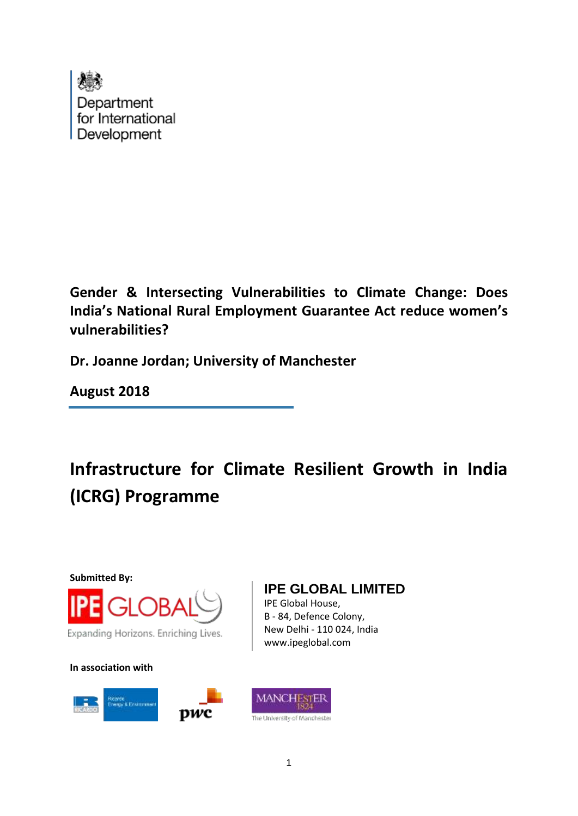

**Gender & Intersecting Vulnerabilities to Climate Change: Does India's National Rural Employment Guarantee Act reduce women's vulnerabilities?**

**Dr. Joanne Jordan; University of Manchester**

**August 2018**

**Infrastructure for Climate Resilient Growth in India (ICRG) Programme**

**Submitted By:**



**In association with**



## **IPE GLOBAL LIMITED**

IPE Global House, B - 84, Defence Colony, New Delhi - 110 024, India www.ipeglobal.com

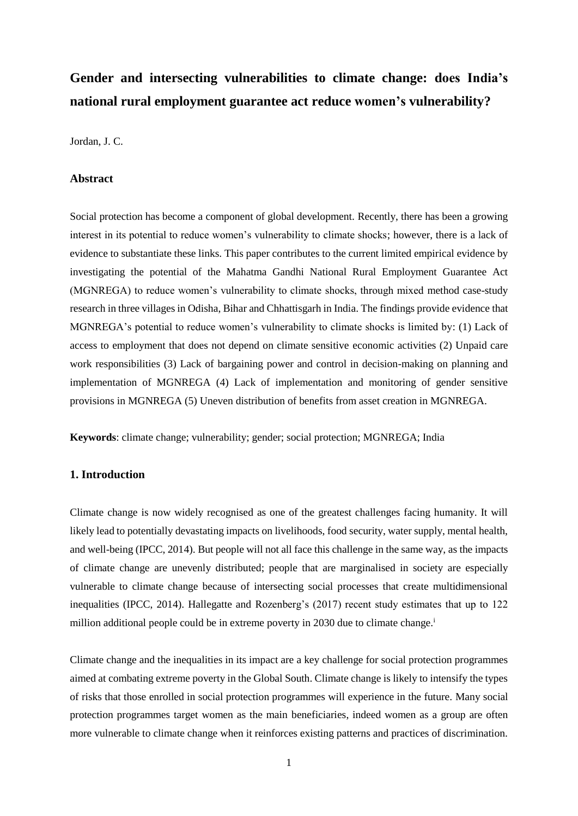# **Gender and intersecting vulnerabilities to climate change: does India's national rural employment guarantee act reduce women's vulnerability?**

Jordan, J. C.

### **Abstract**

Social protection has become a component of global development. Recently, there has been a growing interest in its potential to reduce women's vulnerability to climate shocks; however, there is a lack of evidence to substantiate these links. This paper contributes to the current limited empirical evidence by investigating the potential of the Mahatma Gandhi National Rural Employment Guarantee Act (MGNREGA) to reduce women's vulnerability to climate shocks, through mixed method case-study research in three villages in Odisha, Bihar and Chhattisgarh in India. The findings provide evidence that MGNREGA's potential to reduce women's vulnerability to climate shocks is limited by: (1) Lack of access to employment that does not depend on climate sensitive economic activities (2) Unpaid care work responsibilities (3) Lack of bargaining power and control in decision-making on planning and implementation of MGNREGA (4) Lack of implementation and monitoring of gender sensitive provisions in MGNREGA (5) Uneven distribution of benefits from asset creation in MGNREGA.

**Keywords**: climate change; vulnerability; gender; social protection; MGNREGA; India

## **1. Introduction**

Climate change is now widely recognised as one of the greatest challenges facing humanity. It will likely lead to potentially devastating impacts on livelihoods, food security, water supply, mental health, and well-being (IPCC, 2014). But people will not all face this challenge in the same way, as the impacts of climate change are unevenly distributed; people that are marginalised in society are especially vulnerable to climate change because of intersecting social processes that create multidimensional inequalities (IPCC, 2014). Hallegatte and Rozenberg's (2017) recent study estimates that up to 122 million additional people could be in extreme poverty in 2030 due to climate change.<sup>i</sup>

Climate change and the inequalities in its impact are a key challenge for social protection programmes aimed at combating extreme poverty in the Global South. Climate change is likely to intensify the types of risks that those enrolled in social protection programmes will experience in the future. Many social protection programmes target women as the main beneficiaries, indeed women as a group are often more vulnerable to climate change when it reinforces existing patterns and practices of discrimination.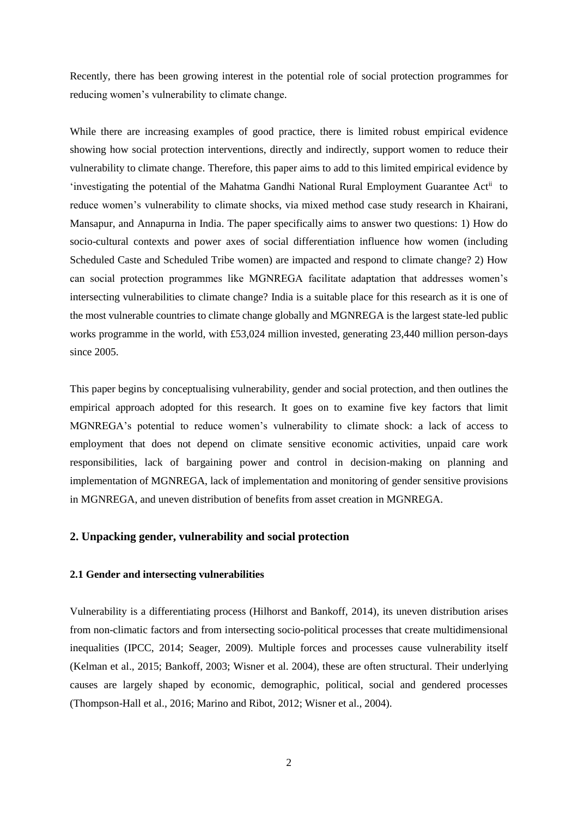Recently, there has been growing interest in the potential role of social protection programmes for reducing women's vulnerability to climate change.

While there are increasing examples of good practice, there is limited robust empirical evidence showing how social protection interventions, directly and indirectly, support women to reduce their vulnerability to climate change. Therefore, this paper aims to add to this limited empirical evidence by 'investigating the potential of the Mahatma Gandhi National Rural Employment Guarantee Actii to reduce women's vulnerability to climate shocks, via mixed method case study research in Khairani, Mansapur, and Annapurna in India. The paper specifically aims to answer two questions: 1) How do socio-cultural contexts and power axes of social differentiation influence how women (including Scheduled Caste and Scheduled Tribe women) are impacted and respond to climate change? 2) How can social protection programmes like MGNREGA facilitate adaptation that addresses women's intersecting vulnerabilities to climate change? India is a suitable place for this research as it is one of the most vulnerable countries to climate change globally and MGNREGA is the largest state-led public works programme in the world, with £53,024 million invested, generating 23,440 million person-days since 2005.

This paper begins by conceptualising vulnerability, gender and social protection, and then outlines the empirical approach adopted for this research. It goes on to examine five key factors that limit MGNREGA's potential to reduce women's vulnerability to climate shock: a lack of access to employment that does not depend on climate sensitive economic activities, unpaid care work responsibilities, lack of bargaining power and control in decision-making on planning and implementation of MGNREGA, lack of implementation and monitoring of gender sensitive provisions in MGNREGA, and uneven distribution of benefits from asset creation in MGNREGA.

## **2. Unpacking gender, vulnerability and social protection**

#### **2.1 Gender and intersecting vulnerabilities**

Vulnerability is a differentiating process (Hilhorst and Bankoff, 2014), its uneven distribution arises from non-climatic factors and from intersecting socio-political processes that create multidimensional inequalities (IPCC, 2014; Seager, 2009). Multiple forces and processes cause vulnerability itself (Kelman et al., 2015; Bankoff, 2003; Wisner et al. 2004), these are often structural. Their underlying causes are largely shaped by economic, demographic, political, social and gendered processes (Thompson-Hall et al., 2016; Marino and Ribot, 2012; Wisner et al., 2004).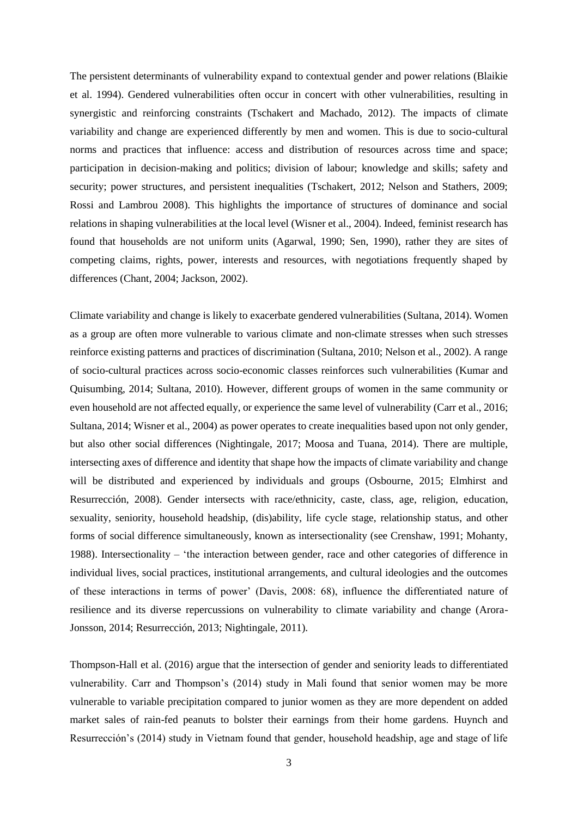The persistent determinants of vulnerability expand to contextual gender and power relations (Blaikie et al. 1994). Gendered vulnerabilities often occur in concert with other vulnerabilities, resulting in synergistic and reinforcing constraints (Tschakert and Machado, 2012). The impacts of climate variability and change are experienced differently by men and women. This is due to socio-cultural norms and practices that influence: access and distribution of resources across time and space; participation in decision-making and politics; division of labour; knowledge and skills; safety and security; power structures, and persistent inequalities (Tschakert, 2012; Nelson and Stathers, 2009; Rossi and Lambrou 2008). This highlights the importance of structures of dominance and social relations in shaping vulnerabilities at the local level (Wisner et al., 2004). Indeed, feminist research has found that households are not uniform units (Agarwal, 1990; Sen, 1990), rather they are sites of competing claims, rights, power, interests and resources, with negotiations frequently shaped by differences (Chant, 2004; Jackson, 2002).

Climate variability and change is likely to exacerbate gendered vulnerabilities (Sultana, 2014). Women as a group are often more vulnerable to various climate and non-climate stresses when such stresses reinforce existing patterns and practices of discrimination (Sultana, 2010; Nelson et al., 2002). A range of socio-cultural practices across socio-economic classes reinforces such vulnerabilities (Kumar and Quisumbing, 2014; Sultana, 2010). However, different groups of women in the same community or even household are not affected equally, or experience the same level of vulnerability (Carr et al., 2016; Sultana, 2014; Wisner et al., 2004) as power operates to create inequalities based upon not only gender, but also other social differences (Nightingale, 2017; Moosa and Tuana, 2014). There are multiple, intersecting axes of difference and identity that shape how the impacts of climate variability and change will be distributed and experienced by individuals and groups (Osbourne, 2015; Elmhirst and Resurrección, 2008). Gender intersects with race/ethnicity, caste, class, age, religion, education, sexuality, seniority, household headship, (dis)ability, life cycle stage, relationship status, and other forms of social difference simultaneously, known as intersectionality (see Crenshaw, 1991; Mohanty, 1988). Intersectionality – 'the interaction between gender, race and other categories of difference in individual lives, social practices, institutional arrangements, and cultural ideologies and the outcomes of these interactions in terms of power' (Davis, 2008: 68), influence the differentiated nature of resilience and its diverse repercussions on vulnerability to climate variability and change (Arora-Jonsson, 2014; Resurrección, 2013; Nightingale, 2011).

Thompson-Hall et al. (2016) argue that the intersection of gender and seniority leads to differentiated vulnerability. Carr and Thompson's (2014) study in Mali found that senior women may be more vulnerable to variable precipitation compared to junior women as they are more dependent on added market sales of rain-fed peanuts to bolster their earnings from their home gardens. Huynch and Resurrección's (2014) study in Vietnam found that gender, household headship, age and stage of life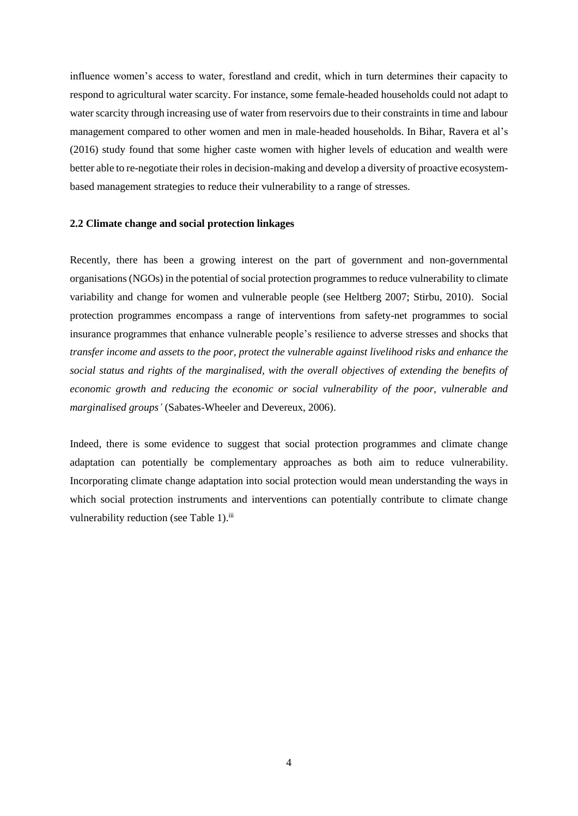influence women's access to water, forestland and credit, which in turn determines their capacity to respond to agricultural water scarcity. For instance, some female-headed households could not adapt to water scarcity through increasing use of water from reservoirs due to their constraints in time and labour management compared to other women and men in male-headed households. In Bihar, Ravera et al's (2016) study found that some higher caste women with higher levels of education and wealth were better able to re-negotiate their roles in decision-making and develop a diversity of proactive ecosystembased management strategies to reduce their vulnerability to a range of stresses.

#### **2.2 Climate change and social protection linkages**

Recently, there has been a growing interest on the part of government and non-governmental organisations (NGOs) in the potential of social protection programmes to reduce vulnerability to climate variability and change for women and vulnerable people (see Heltberg 2007; Stirbu, 2010). Social protection programmes encompass a range of interventions from safety-net programmes to social insurance programmes that enhance vulnerable people's resilience to adverse stresses and shocks that *transfer income and assets to the poor, protect the vulnerable against livelihood risks and enhance the social status and rights of the marginalised, with the overall objectives of extending the benefits of economic growth and reducing the economic or social vulnerability of the poor, vulnerable and marginalised groups'* (Sabates-Wheeler and Devereux, 2006).

Indeed, there is some evidence to suggest that social protection programmes and climate change adaptation can potentially be complementary approaches as both aim to reduce vulnerability. Incorporating climate change adaptation into social protection would mean understanding the ways in which social protection instruments and interventions can potentially contribute to climate change vulnerability reduction (see Table 1).<sup>iii</sup>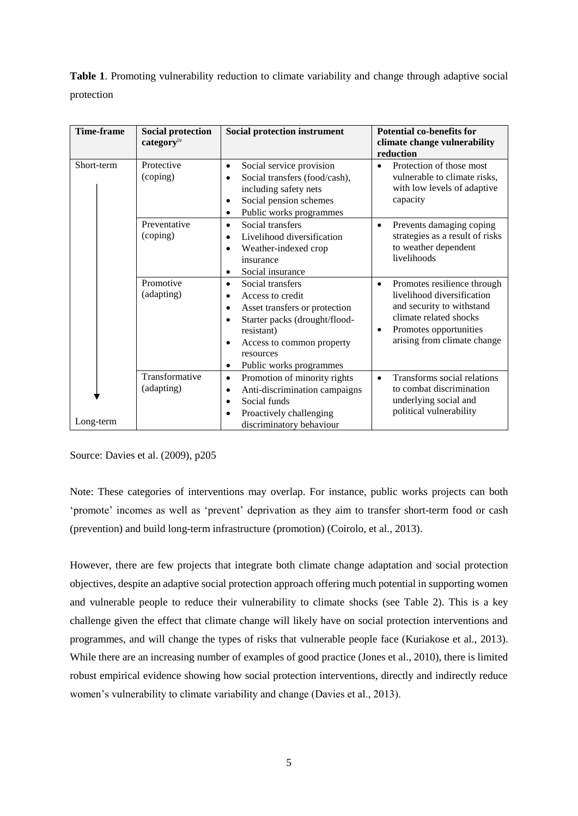**Table 1**. Promoting vulnerability reduction to climate variability and change through adaptive social protection

| <b>Time-frame</b> | <b>Social protection</b><br>categoryiv | Social protection instrument                                                                                                                                                                                          | <b>Potential co-benefits for</b><br>climate change vulnerability<br>reduction                                                                                                                       |
|-------------------|----------------------------------------|-----------------------------------------------------------------------------------------------------------------------------------------------------------------------------------------------------------------------|-----------------------------------------------------------------------------------------------------------------------------------------------------------------------------------------------------|
| Short-term        | Protective<br>(coping)                 | Social service provision<br>٠<br>Social transfers (food/cash),<br>$\bullet$<br>including safety nets<br>Social pension schemes<br>٠<br>Public works programmes<br>$\bullet$                                           | Protection of those most<br>vulnerable to climate risks,<br>with low levels of adaptive<br>capacity                                                                                                 |
|                   | Preventative<br>(coping)               | Social transfers<br>$\bullet$<br>Livelihood diversification<br>$\bullet$<br>Weather-indexed crop<br>٠<br>insurance<br>Social insurance<br>٠                                                                           | Prevents damaging coping<br>$\bullet$<br>strategies as a result of risks<br>to weather dependent<br>livelihoods                                                                                     |
|                   | Promotive<br>(adapting)                | Social transfers<br>$\bullet$<br>Access to credit<br>٠<br>Asset transfers or protection<br>Starter packs (drought/flood-<br>resistant)<br>Access to common property<br>٠<br>resources<br>Public works programmes<br>٠ | Promotes resilience through<br>$\bullet$<br>livelihood diversification<br>and security to withstand<br>climate related shocks<br>Promotes opportunities<br>$\bullet$<br>arising from climate change |
| Long-term         | Transformative<br>(adapting)           | Promotion of minority rights<br>٠<br>Anti-discrimination campaigns<br>٠<br>Social funds<br>$\bullet$<br>Proactively challenging<br>٠<br>discriminatory behaviour                                                      | Transforms social relations<br>$\bullet$<br>to combat discrimination<br>underlying social and<br>political vulnerability                                                                            |

Source: Davies et al. (2009), p205

Note: These categories of interventions may overlap. For instance, public works projects can both 'promote' incomes as well as 'prevent' deprivation as they aim to transfer short-term food or cash (prevention) and build long-term infrastructure (promotion) (Coirolo, et al., 2013).

However, there are few projects that integrate both climate change adaptation and social protection objectives, despite an adaptive social protection approach offering much potential in supporting women and vulnerable people to reduce their vulnerability to climate shocks (see Table 2). This is a key challenge given the effect that climate change will likely have on social protection interventions and programmes, and will change the types of risks that vulnerable people face (Kuriakose et al., 2013). While there are an increasing number of examples of good practice (Jones et al., 2010), there is limited robust empirical evidence showing how social protection interventions, directly and indirectly reduce women's vulnerability to climate variability and change (Davies et al., 2013).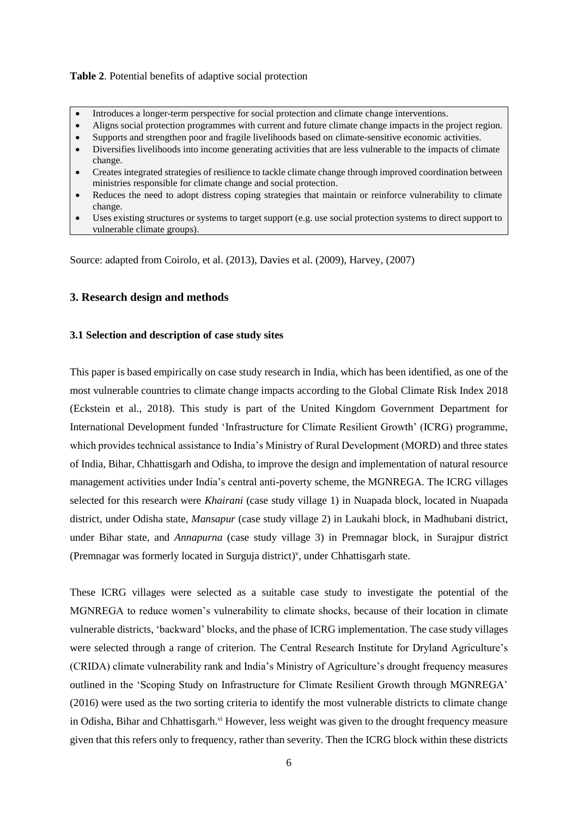#### **Table 2**. Potential benefits of adaptive social protection

- Introduces a longer-term perspective for social protection and climate change interventions.
- Aligns social protection programmes with current and future climate change impacts in the project region.
- Supports and strengthen poor and fragile livelihoods based on climate-sensitive economic activities.
- Diversifies livelihoods into income generating activities that are less vulnerable to the impacts of climate change.
- Creates integrated strategies of resilience to tackle climate change through improved coordination between ministries responsible for climate change and social protection.
- Reduces the need to adopt distress coping strategies that maintain or reinforce vulnerability to climate change.
- Uses existing structures or systems to target support (e.g. use social protection systems to direct support to vulnerable climate groups).

Source: adapted from Coirolo, et al. (2013), Davies et al. (2009), Harvey, (2007)

## **3. Research design and methods**

## **3.1 Selection and description of case study sites**

This paper is based empirically on case study research in India, which has been identified, as one of the most vulnerable countries to climate change impacts according to the Global Climate Risk Index 2018 (Eckstein et al., 2018). This study is part of the United Kingdom Government Department for International Development funded 'Infrastructure for Climate Resilient Growth' (ICRG) programme, which provides technical assistance to India's Ministry of Rural Development (MORD) and three states of India, Bihar, Chhattisgarh and Odisha, to improve the design and implementation of natural resource management activities under India's central anti-poverty scheme, the MGNREGA. The ICRG villages selected for this research were *Khairani* (case study village 1) in Nuapada block, located in Nuapada district, under Odisha state, *Mansapur* (case study village 2) in Laukahi block, in Madhubani district, under Bihar state, and *Annapurna* (case study village 3) in Premnagar block, in Surajpur district (Premnagar was formerly located in Surguja district)<sup>v</sup>, under Chhattisgarh state.

These ICRG villages were selected as a suitable case study to investigate the potential of the MGNREGA to reduce women's vulnerability to climate shocks, because of their location in climate vulnerable districts, 'backward' blocks, and the phase of ICRG implementation. The case study villages were selected through a range of criterion. The Central Research Institute for Dryland Agriculture's (CRIDA) climate vulnerability rank and India's Ministry of Agriculture's drought frequency measures outlined in the 'Scoping Study on Infrastructure for Climate Resilient Growth through MGNREGA' (2016) were used as the two sorting criteria to identify the most vulnerable districts to climate change in Odisha, Bihar and Chhattisgarh.<sup>vi</sup> However, less weight was given to the drought frequency measure given that this refers only to frequency, rather than severity. Then the ICRG block within these districts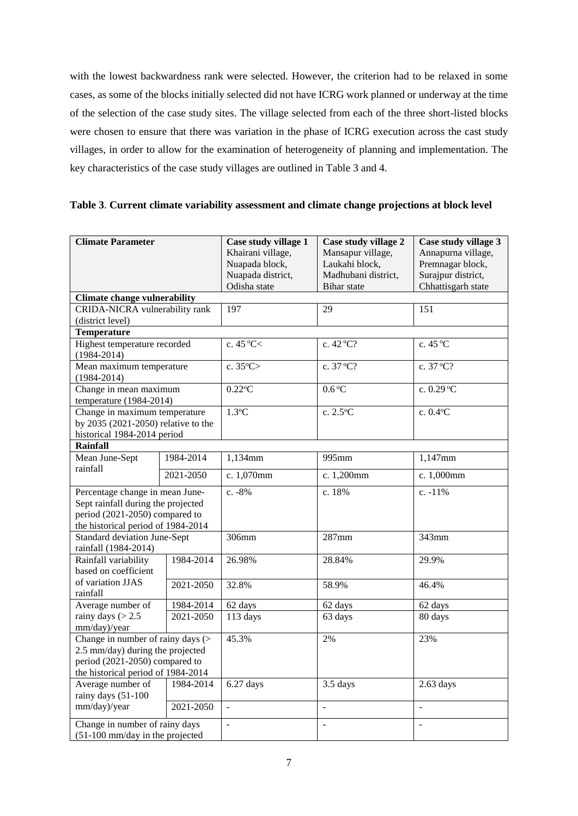with the lowest backwardness rank were selected. However, the criterion had to be relaxed in some cases, as some of the blocks initially selected did not have ICRG work planned or underway at the time of the selection of the case study sites. The village selected from each of the three short-listed blocks were chosen to ensure that there was variation in the phase of ICRG execution across the cast study villages, in order to allow for the examination of heterogeneity of planning and implementation. The key characteristics of the case study villages are outlined in Table 3 and 4.

| <b>Climate Parameter</b>                             |               | Case study village 1  | Case study village 2   | Case study village 3 |
|------------------------------------------------------|---------------|-----------------------|------------------------|----------------------|
|                                                      |               | Khairani village,     | Mansapur village,      | Annapurna village,   |
|                                                      |               | Nuapada block,        | Laukahi block,         | Premnagar block,     |
|                                                      |               | Nuapada district,     | Madhubani district,    | Surajpur district,   |
|                                                      |               | Odisha state          | <b>Bihar</b> state     | Chhattisgarh state   |
| <b>Climate change vulnerability</b>                  |               |                       |                        |                      |
| CRIDA-NICRA vulnerability rank                       |               | 197                   | 29                     | 151                  |
| (district level)                                     |               |                       |                        |                      |
| <b>Temperature</b>                                   |               |                       |                        |                      |
| Highest temperature recorded                         |               | c. $45^{\circ}$ C $<$ | c. $42^{\circ}C?$      | c. $45^{\circ}$ C    |
| $(1984 - 2014)$                                      |               |                       |                        |                      |
| Mean maximum temperature                             |               | c. $35^{\circ}$ C>    | c. 37 °C?              | c. 37 °C?            |
| $(1984 - 2014)$                                      |               |                       |                        |                      |
| Change in mean maximum                               |               | $0.22$ <sup>o</sup> C | $0.6^{\circ}$ C        | c. 0.29 °C           |
| temperature (1984-2014)                              |               |                       |                        |                      |
| Change in maximum temperature                        |               | $1.3^{\circ}C$        | $\overline{c}$ . 2.5°C | c. $0.4$ °C          |
| by 2035 (2021-2050) relative to the                  |               |                       |                        |                      |
| historical 1984-2014 period<br>Rainfall              |               |                       |                        |                      |
| Mean June-Sept                                       | 1984-2014     | 1,134mm               | 995mm                  | 1,147mm              |
| rainfall                                             |               |                       |                        |                      |
|                                                      | 2021-2050     | c. 1,070mm            | c. 1,200mm             | c. 1,000mm           |
| Percentage change in mean June-                      |               | c. $-8%$              | c. 18%                 | c. $-11%$            |
| Sept rainfall during the projected                   |               |                       |                        |                      |
| period (2021-2050) compared to                       |               |                       |                        |                      |
| the historical period of 1984-2014                   |               |                       |                        |                      |
| <b>Standard deviation June-Sept</b>                  |               | 306mm                 | $287$ mm               | 343mm                |
| rainfall (1984-2014)                                 |               |                       |                        |                      |
| Rainfall variability                                 | 1984-2014     | 26.98%                | 28.84%                 | 29.9%                |
| based on coefficient                                 |               |                       |                        |                      |
| of variation JJAS                                    | $2021 - 2050$ | 32.8%                 | 58.9%                  | 46.4%                |
| rainfall                                             |               |                       |                        |                      |
| Average number of                                    | 1984-2014     | 62 days               | 62 days                | 62 days              |
| rainy days $(> 2.5)$                                 | 2021-2050     | 113 days              | 63 days                | 80 days              |
| mm/day)/year                                         |               |                       |                        |                      |
| Change in number of rainy days $($                   |               | 45.3%                 | 2%                     | 23%                  |
| 2.5 mm/day) during the projected                     |               |                       |                        |                      |
| period (2021-2050) compared to                       |               |                       |                        |                      |
| the historical period of 1984-2014                   |               | $6.27$ days           | 3.5 days               | $2.63$ days          |
| Average number of<br>1984-2014<br>rainy days (51-100 |               |                       |                        |                      |
| mm/day)/year                                         | 2021-2050     | $\overline{a}$        | $\overline{a}$         | $\overline{a}$       |
|                                                      |               |                       |                        |                      |
| Change in number of rainy days                       |               | $\overline{a}$        | $\frac{1}{2}$          | $\bar{\phantom{a}}$  |
| $(51-100$ mm/day in the projected                    |               |                       |                        |                      |

**Table 3**. **Current climate variability assessment and climate change projections at block level**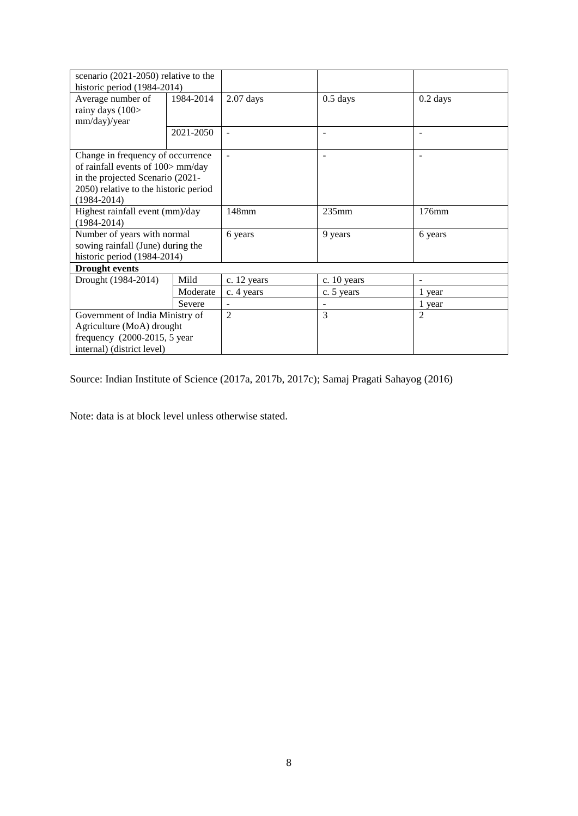| scenario (2021-2050) relative to the  |           |                |                   |                |
|---------------------------------------|-----------|----------------|-------------------|----------------|
| historic period (1984-2014)           |           |                |                   |                |
| Average number of<br>1984-2014        |           | $2.07$ days    | $0.5$ days        | $0.2$ days     |
| rainy days (100>                      |           |                |                   |                |
| mm/day)/year                          |           |                |                   |                |
|                                       | 2021-2050 | $\blacksquare$ | $\qquad \qquad -$ |                |
|                                       |           |                |                   |                |
| Change in frequency of occurrence     |           |                |                   |                |
| of rainfall events of 100> mm/day     |           |                |                   |                |
| in the projected Scenario (2021-      |           |                |                   |                |
| 2050) relative to the historic period |           |                |                   |                |
| $(1984 - 2014)$                       |           |                |                   |                |
| Highest rainfall event (mm)/day       |           | 148mm          | 235mm             | 176mm          |
| $(1984 - 2014)$                       |           |                |                   |                |
| Number of years with normal           |           | 6 years        | 9 years           | 6 years        |
| sowing rainfall (June) during the     |           |                |                   |                |
| historic period (1984-2014)           |           |                |                   |                |
| <b>Drought events</b>                 |           |                |                   |                |
| Drought (1984-2014)                   | Mild      | c. 12 years    | c. 10 years       |                |
|                                       | Moderate  | c. 4 years     | c. 5 years        | 1 year         |
|                                       | Severe    |                |                   | 1 year         |
| Government of India Ministry of       |           | $\overline{2}$ | 3                 | $\overline{c}$ |
| Agriculture (MoA) drought             |           |                |                   |                |
| frequency $(2000-2015, 5$ year        |           |                |                   |                |
| internal) (district level)            |           |                |                   |                |

Source: Indian Institute of Science (2017a, 2017b, 2017c); Samaj Pragati Sahayog (2016)

Note: data is at block level unless otherwise stated.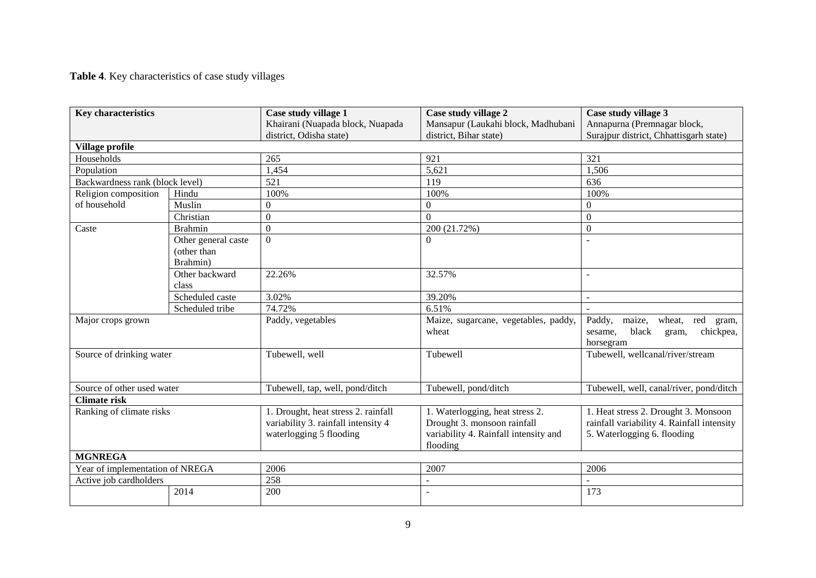**Table 4**. Key characteristics of case study villages

| <b>Key characteristics</b>      |                     | Case study village 1<br>Khairani (Nuapada block, Nuapada                                              | Case study village 2<br>Mansapur (Laukahi block, Madhubani                                                          | Case study village 3<br>Annapurna (Premnagar block,                                                               |  |
|---------------------------------|---------------------|-------------------------------------------------------------------------------------------------------|---------------------------------------------------------------------------------------------------------------------|-------------------------------------------------------------------------------------------------------------------|--|
|                                 |                     | district, Odisha state)                                                                               | district, Bihar state)                                                                                              | Surajpur district, Chhattisgarh state)                                                                            |  |
| Village profile                 |                     |                                                                                                       |                                                                                                                     |                                                                                                                   |  |
| Households                      |                     | 265                                                                                                   | 921                                                                                                                 | 321                                                                                                               |  |
| Population                      |                     | 1,454                                                                                                 | 5,621                                                                                                               | 1,506                                                                                                             |  |
| Backwardness rank (block level) |                     | 521                                                                                                   | 119                                                                                                                 | 636                                                                                                               |  |
| Religion composition            | Hindu               | 100%                                                                                                  | 100%                                                                                                                | 100%                                                                                                              |  |
| of household                    | Muslin              | $\boldsymbol{0}$                                                                                      | $\overline{0}$                                                                                                      | $\theta$                                                                                                          |  |
|                                 | Christian           | $\overline{0}$                                                                                        | $\overline{0}$                                                                                                      | $\overline{0}$                                                                                                    |  |
| Caste                           | <b>Brahmin</b>      | $\overline{0}$                                                                                        | 200 (21.72%)                                                                                                        | $\boldsymbol{0}$                                                                                                  |  |
|                                 | Other general caste | $\overline{0}$                                                                                        | $\Omega$                                                                                                            |                                                                                                                   |  |
|                                 | (other than         |                                                                                                       |                                                                                                                     |                                                                                                                   |  |
|                                 | Brahmin)            |                                                                                                       |                                                                                                                     |                                                                                                                   |  |
|                                 | Other backward      | 22.26%                                                                                                | 32.57%                                                                                                              |                                                                                                                   |  |
|                                 | class               |                                                                                                       |                                                                                                                     |                                                                                                                   |  |
|                                 | Scheduled caste     | 3.02%                                                                                                 | 39.20%                                                                                                              |                                                                                                                   |  |
|                                 | Scheduled tribe     | 74.72%                                                                                                | 6.51%                                                                                                               |                                                                                                                   |  |
| Major crops grown               |                     | Paddy, vegetables                                                                                     | Maize, sugarcane, vegetables, paddy,<br>wheat                                                                       | maize,<br>Paddy,<br>wheat,<br>red<br>gram,<br>black<br>chickpea,<br>sesame.<br>gram,<br>horsegram                 |  |
| Source of drinking water        |                     | Tubewell, well                                                                                        | Tubewell                                                                                                            | Tubewell, wellcanal/river/stream                                                                                  |  |
| Source of other used water      |                     | Tubewell, tap, well, pond/ditch                                                                       | Tubewell, pond/ditch                                                                                                | Tubewell, well, canal/river, pond/ditch                                                                           |  |
| <b>Climate risk</b>             |                     |                                                                                                       |                                                                                                                     |                                                                                                                   |  |
| Ranking of climate risks        |                     | 1. Drought, heat stress 2. rainfall<br>variability 3. rainfall intensity 4<br>waterlogging 5 flooding | 1. Waterlogging, heat stress 2.<br>Drought 3. monsoon rainfall<br>variability 4. Rainfall intensity and<br>flooding | 1. Heat stress 2. Drought 3. Monsoon<br>rainfall variability 4. Rainfall intensity<br>5. Waterlogging 6. flooding |  |
| <b>MGNREGA</b>                  |                     |                                                                                                       |                                                                                                                     |                                                                                                                   |  |
| Year of implementation of NREGA |                     | 2006                                                                                                  | 2007                                                                                                                | 2006                                                                                                              |  |
| Active job cardholders          |                     | 258                                                                                                   |                                                                                                                     |                                                                                                                   |  |
|                                 | 2014                | 200                                                                                                   |                                                                                                                     | 173                                                                                                               |  |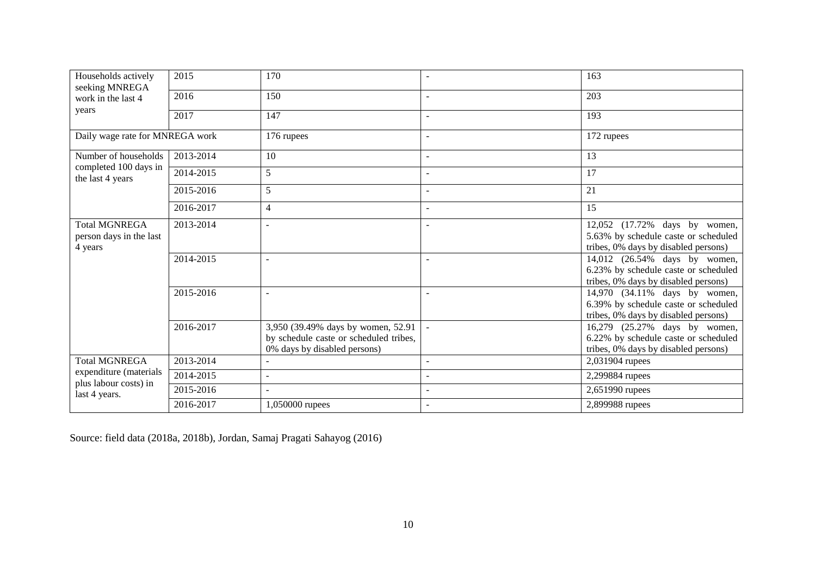| Households actively<br>seeking MNREGA<br>work in the last 4                              | 2015      | 170                                                                                                          |                          | 163                                                                                                           |
|------------------------------------------------------------------------------------------|-----------|--------------------------------------------------------------------------------------------------------------|--------------------------|---------------------------------------------------------------------------------------------------------------|
|                                                                                          | 2016      | 150                                                                                                          |                          | 203                                                                                                           |
| years                                                                                    | 2017      | 147                                                                                                          | $\overline{\phantom{a}}$ | 193                                                                                                           |
| Daily wage rate for MNREGA work                                                          |           | 176 rupees                                                                                                   | $\overline{a}$           | 172 rupees                                                                                                    |
| Number of households                                                                     | 2013-2014 | 10                                                                                                           | $\overline{\phantom{a}}$ | 13                                                                                                            |
| completed 100 days in<br>the last 4 years                                                | 2014-2015 | 5                                                                                                            | L.                       | 17                                                                                                            |
|                                                                                          | 2015-2016 | 5                                                                                                            | $\overline{\phantom{a}}$ | 21                                                                                                            |
|                                                                                          | 2016-2017 | 4                                                                                                            | $\overline{a}$           | 15                                                                                                            |
| <b>Total MGNREGA</b><br>person days in the last<br>4 years                               | 2013-2014 |                                                                                                              | $\overline{\phantom{a}}$ | 12,052 (17.72% days by women,<br>5.63% by schedule caste or scheduled<br>tribes, 0% days by disabled persons) |
|                                                                                          | 2014-2015 |                                                                                                              | $\overline{\phantom{a}}$ | 14,012 (26.54% days by women,<br>6.23% by schedule caste or scheduled<br>tribes, 0% days by disabled persons) |
|                                                                                          | 2015-2016 |                                                                                                              | $\overline{a}$           | 14,970 (34.11% days by women,<br>6.39% by schedule caste or scheduled<br>tribes, 0% days by disabled persons) |
|                                                                                          | 2016-2017 | 3,950 (39.49% days by women, 52.91<br>by schedule caste or scheduled tribes,<br>0% days by disabled persons) |                          | 16,279 (25.27% days by women,<br>6.22% by schedule caste or scheduled<br>tribes, 0% days by disabled persons) |
| <b>Total MGNREGA</b><br>expenditure (materials<br>plus labour costs) in<br>last 4 years. | 2013-2014 |                                                                                                              | ÷,                       | 2,031904 rupees                                                                                               |
|                                                                                          | 2014-2015 |                                                                                                              |                          | 2,299884 rupees                                                                                               |
|                                                                                          | 2015-2016 |                                                                                                              | ÷,                       | 2,651990 rupees                                                                                               |
|                                                                                          | 2016-2017 | 1,050000 rupees                                                                                              | $\sim$                   | 2,899988 rupees                                                                                               |

Source: field data (2018a, 2018b), Jordan, Samaj Pragati Sahayog (2016)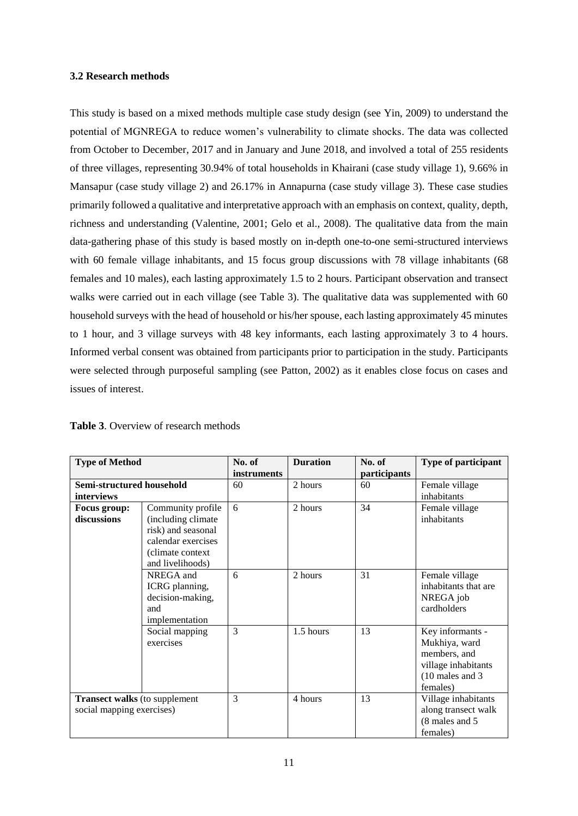#### **3.2 Research methods**

This study is based on a mixed methods multiple case study design (see Yin, 2009) to understand the potential of MGNREGA to reduce women's vulnerability to climate shocks. The data was collected from October to December, 2017 and in January and June 2018, and involved a total of 255 residents of three villages, representing 30.94% of total households in Khairani (case study village 1), 9.66% in Mansapur (case study village 2) and 26.17% in Annapurna (case study village 3). These case studies primarily followed a qualitative and interpretative approach with an emphasis on context, quality, depth, richness and understanding (Valentine, 2001; Gelo et al., 2008). The qualitative data from the main data-gathering phase of this study is based mostly on in-depth one-to-one semi-structured interviews with 60 female village inhabitants, and 15 focus group discussions with 78 village inhabitants (68 females and 10 males), each lasting approximately 1.5 to 2 hours. Participant observation and transect walks were carried out in each village (see Table 3). The qualitative data was supplemented with 60 household surveys with the head of household or his/her spouse, each lasting approximately 45 minutes to 1 hour, and 3 village surveys with 48 key informants, each lasting approximately 3 to 4 hours. Informed verbal consent was obtained from participants prior to participation in the study. Participants were selected through purposeful sampling (see Patton, 2002) as it enables close focus on cases and issues of interest.

| <b>Type of Method</b>                |                    | No. of      | <b>Duration</b> | No. of       | <b>Type of participant</b> |
|--------------------------------------|--------------------|-------------|-----------------|--------------|----------------------------|
|                                      |                    | instruments |                 | participants |                            |
| Semi-structured household            |                    | 60          | 2 hours         | 60           | Female village             |
| <i>interviews</i>                    |                    |             |                 |              | inhabitants                |
| Focus group:                         | Community profile  | 6           | 2 hours         | 34           | Female village             |
| discussions                          | (including climate |             |                 |              | inhabitants                |
|                                      | risk) and seasonal |             |                 |              |                            |
|                                      | calendar exercises |             |                 |              |                            |
|                                      | (climate context   |             |                 |              |                            |
|                                      | and livelihoods)   |             |                 |              |                            |
|                                      | NREGA and          | 6           | 2 hours         | 31           | Female village             |
|                                      | ICRG planning,     |             |                 |              | inhabitants that are       |
|                                      | decision-making,   |             |                 |              | NREGA job                  |
|                                      | and                |             |                 |              | cardholders                |
|                                      | implementation     |             |                 |              |                            |
|                                      | Social mapping     | 3           | 1.5 hours       | 13           | Key informants -           |
|                                      | exercises          |             |                 |              | Mukhiya, ward              |
|                                      |                    |             |                 |              | members, and               |
|                                      |                    |             |                 |              | village inhabitants        |
|                                      |                    |             |                 |              | $(10$ males and 3          |
|                                      |                    |             |                 |              | females)                   |
| <b>Transect walks</b> (to supplement |                    | 3           | 4 hours         | 13           | Village inhabitants        |
| social mapping exercises)            |                    |             |                 |              | along transect walk        |
|                                      |                    |             |                 |              | (8 males and 5)            |
|                                      |                    |             |                 |              | females)                   |

| <b>Table 3.</b> Overview of research methods |
|----------------------------------------------|
|----------------------------------------------|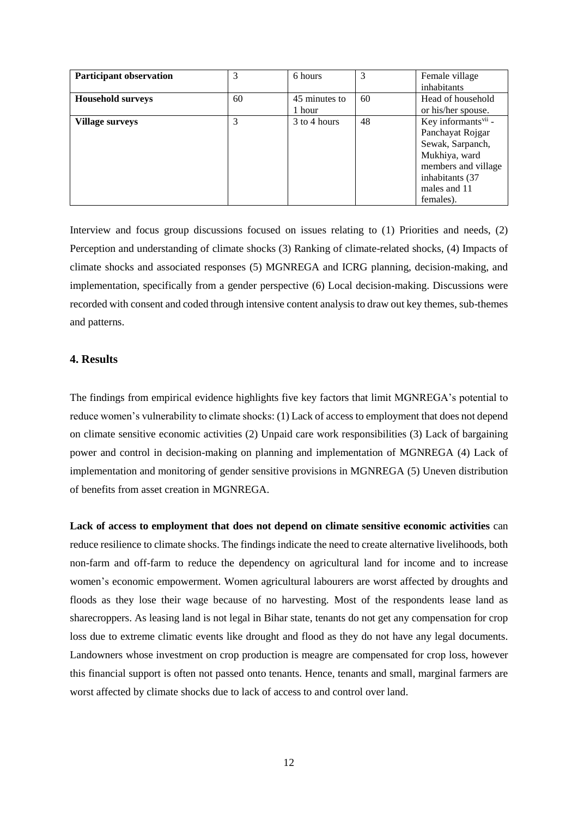| <b>Participant observation</b> | 3  | 6 hours       | 3  | Female village                  |
|--------------------------------|----|---------------|----|---------------------------------|
|                                |    |               |    | inhabitants                     |
| <b>Household surveys</b>       | 60 | 45 minutes to | 60 | Head of household               |
|                                |    | 1 hour        |    | or his/her spouse.              |
| <b>Village surveys</b>         | 3  | 3 to 4 hours  | 48 | Key informants <sup>vii</sup> - |
|                                |    |               |    | Panchayat Rojgar                |
|                                |    |               |    | Sewak, Sarpanch,                |
|                                |    |               |    | Mukhiya, ward                   |
|                                |    |               |    | members and village             |
|                                |    |               |    | inhabitants (37                 |
|                                |    |               |    | males and 11                    |
|                                |    |               |    | females).                       |

Interview and focus group discussions focused on issues relating to (1) Priorities and needs, (2) Perception and understanding of climate shocks (3) Ranking of climate-related shocks, (4) Impacts of climate shocks and associated responses (5) MGNREGA and ICRG planning, decision-making, and implementation, specifically from a gender perspective (6) Local decision-making. Discussions were recorded with consent and coded through intensive content analysis to draw out key themes, sub-themes and patterns.

## **4. Results**

The findings from empirical evidence highlights five key factors that limit MGNREGA's potential to reduce women's vulnerability to climate shocks: (1) Lack of access to employment that does not depend on climate sensitive economic activities (2) Unpaid care work responsibilities (3) Lack of bargaining power and control in decision-making on planning and implementation of MGNREGA (4) Lack of implementation and monitoring of gender sensitive provisions in MGNREGA (5) Uneven distribution of benefits from asset creation in MGNREGA.

**Lack of access to employment that does not depend on climate sensitive economic activities** can reduce resilience to climate shocks. The findings indicate the need to create alternative livelihoods, both non-farm and off-farm to reduce the dependency on agricultural land for income and to increase women's economic empowerment. Women agricultural labourers are worst affected by droughts and floods as they lose their wage because of no harvesting. Most of the respondents lease land as sharecroppers. As leasing land is not legal in Bihar state, tenants do not get any compensation for crop loss due to extreme climatic events like drought and flood as they do not have any legal documents. Landowners whose investment on crop production is meagre are compensated for crop loss, however this financial support is often not passed onto tenants. Hence, tenants and small, marginal farmers are worst affected by climate shocks due to lack of access to and control over land.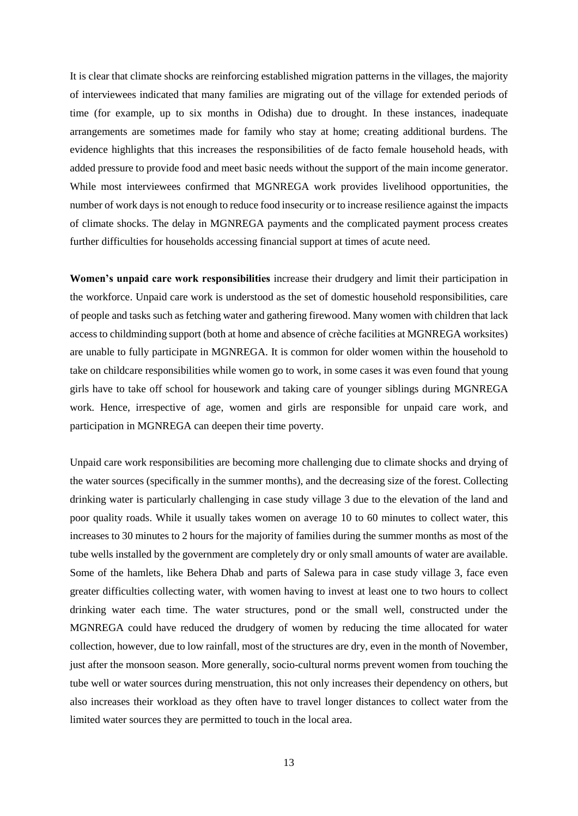It is clear that climate shocks are reinforcing established migration patterns in the villages, the majority of interviewees indicated that many families are migrating out of the village for extended periods of time (for example, up to six months in Odisha) due to drought. In these instances, inadequate arrangements are sometimes made for family who stay at home; creating additional burdens. The evidence highlights that this increases the responsibilities of de facto female household heads, with added pressure to provide food and meet basic needs without the support of the main income generator. While most interviewees confirmed that MGNREGA work provides livelihood opportunities, the number of work days is not enough to reduce food insecurity or to increase resilience against the impacts of climate shocks. The delay in MGNREGA payments and the complicated payment process creates further difficulties for households accessing financial support at times of acute need.

**Women's unpaid care work responsibilities** increase their drudgery and limit their participation in the workforce. Unpaid care work is understood as the set of domestic household responsibilities, care of people and tasks such as fetching water and gathering firewood. Many women with children that lack access to childminding support (both at home and absence of crèche facilities at MGNREGA worksites) are unable to fully participate in MGNREGA. It is common for older women within the household to take on childcare responsibilities while women go to work, in some cases it was even found that young girls have to take off school for housework and taking care of younger siblings during MGNREGA work. Hence, irrespective of age, women and girls are responsible for unpaid care work, and participation in MGNREGA can deepen their time poverty.

Unpaid care work responsibilities are becoming more challenging due to climate shocks and drying of the water sources (specifically in the summer months), and the decreasing size of the forest. Collecting drinking water is particularly challenging in case study village 3 due to the elevation of the land and poor quality roads. While it usually takes women on average 10 to 60 minutes to collect water, this increases to 30 minutes to 2 hours for the majority of families during the summer months as most of the tube wells installed by the government are completely dry or only small amounts of water are available. Some of the hamlets, like Behera Dhab and parts of Salewa para in case study village 3, face even greater difficulties collecting water, with women having to invest at least one to two hours to collect drinking water each time. The water structures, pond or the small well, constructed under the MGNREGA could have reduced the drudgery of women by reducing the time allocated for water collection, however, due to low rainfall, most of the structures are dry, even in the month of November, just after the monsoon season. More generally, socio-cultural norms prevent women from touching the tube well or water sources during menstruation, this not only increases their dependency on others, but also increases their workload as they often have to travel longer distances to collect water from the limited water sources they are permitted to touch in the local area.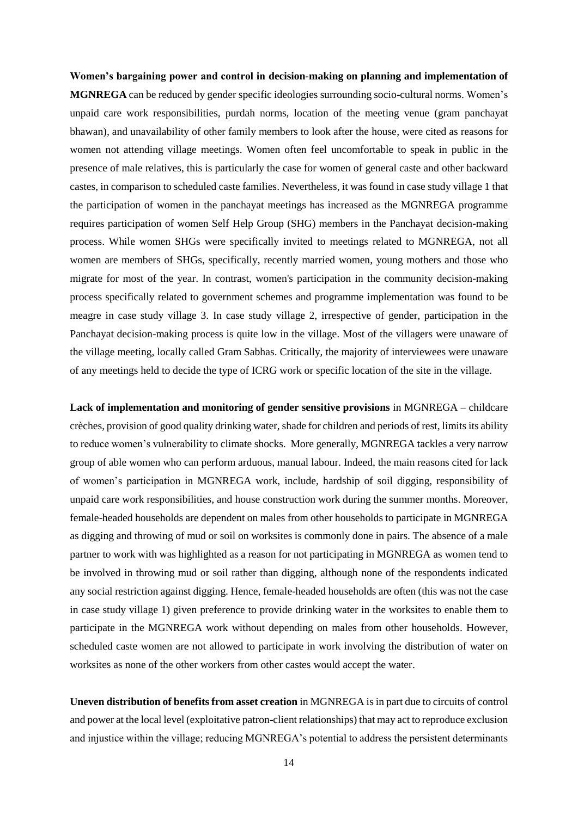**Women's bargaining power and control in decision-making on planning and implementation of MGNREGA** can be reduced by gender specific ideologies surrounding socio-cultural norms. Women's unpaid care work responsibilities, purdah norms, location of the meeting venue (gram panchayat bhawan), and unavailability of other family members to look after the house, were cited as reasons for women not attending village meetings. Women often feel uncomfortable to speak in public in the presence of male relatives, this is particularly the case for women of general caste and other backward castes, in comparison to scheduled caste families. Nevertheless, it was found in case study village 1 that the participation of women in the panchayat meetings has increased as the MGNREGA programme requires participation of women Self Help Group (SHG) members in the Panchayat decision-making process. While women SHGs were specifically invited to meetings related to MGNREGA, not all women are members of SHGs, specifically, recently married women, young mothers and those who migrate for most of the year. In contrast, women's participation in the community decision-making process specifically related to government schemes and programme implementation was found to be meagre in case study village 3. In case study village 2, irrespective of gender, participation in the Panchayat decision-making process is quite low in the village. Most of the villagers were unaware of the village meeting, locally called Gram Sabhas. Critically, the majority of interviewees were unaware of any meetings held to decide the type of ICRG work or specific location of the site in the village.

**Lack of implementation and monitoring of gender sensitive provisions** in MGNREGA – childcare crèches, provision of good quality drinking water, shade for children and periods of rest, limits its ability to reduce women's vulnerability to climate shocks. More generally, MGNREGA tackles a very narrow group of able women who can perform arduous, manual labour. Indeed, the main reasons cited for lack of women's participation in MGNREGA work, include, hardship of soil digging, responsibility of unpaid care work responsibilities, and house construction work during the summer months. Moreover, female-headed households are dependent on males from other households to participate in MGNREGA as digging and throwing of mud or soil on worksites is commonly done in pairs. The absence of a male partner to work with was highlighted as a reason for not participating in MGNREGA as women tend to be involved in throwing mud or soil rather than digging, although none of the respondents indicated any social restriction against digging. Hence, female-headed households are often (this was not the case in case study village 1) given preference to provide drinking water in the worksites to enable them to participate in the MGNREGA work without depending on males from other households. However, scheduled caste women are not allowed to participate in work involving the distribution of water on worksites as none of the other workers from other castes would accept the water.

**Uneven distribution of benefits from asset creation** in MGNREGA is in part due to circuits of control and power at the local level (exploitative patron-client relationships) that may act to reproduce exclusion and injustice within the village; reducing MGNREGA's potential to address the persistent determinants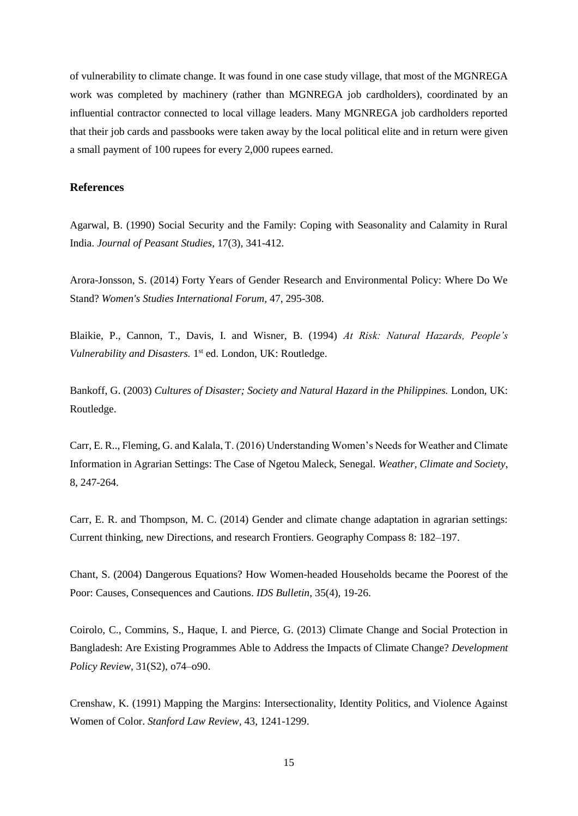of vulnerability to climate change. It was found in one case study village, that most of the MGNREGA work was completed by machinery (rather than MGNREGA job cardholders), coordinated by an influential contractor connected to local village leaders. Many MGNREGA job cardholders reported that their job cards and passbooks were taken away by the local political elite and in return were given a small payment of 100 rupees for every 2,000 rupees earned.

## **References**

Agarwal, B. (1990) Social Security and the Family: Coping with Seasonality and Calamity in Rural India. *Journal of Peasant Studies*, 17(3), 341-412.

Arora-Jonsson, S. (2014) Forty Years of Gender Research and Environmental Policy: Where Do We Stand? *Women's Studies International Forum,* 47, 295-308.

Blaikie, P., Cannon, T., Davis, I. and Wisner, B. (1994) *At Risk: Natural Hazards, People's* Vulnerability and Disasters. 1<sup>st</sup> ed. London, UK: Routledge.

Bankoff, G. (2003) *Cultures of Disaster; Society and Natural Hazard in the Philippines.* London, UK: Routledge.

Carr, E. R.., Fleming, G. and Kalala, T. (2016) Understanding Women's Needs for Weather and Climate Information in Agrarian Settings: The Case of Ngetou Maleck, Senegal. *Weather, Climate and Society*, 8, 247-264.

Carr, E. R. and Thompson, M. C. (2014) Gender and climate change adaptation in agrarian settings: Current thinking, new Directions, and research Frontiers. Geography Compass 8: 182–197.

Chant, S. (2004) Dangerous Equations? How Women-headed Households became the Poorest of the Poor: Causes, Consequences and Cautions. *IDS Bulletin*, 35(4), 19-26.

Coirolo, C., Commins, S., Haque, I. and Pierce, G. (2013) Climate Change and Social Protection in Bangladesh: Are Existing Programmes Able to Address the Impacts of Climate Change? *Development Policy Review*, 31(S2), o74–o90.

Crenshaw, K. (1991) Mapping the Margins: Intersectionality, Identity Politics, and Violence Against Women of Color. *Stanford Law Review,* 43, 1241-1299.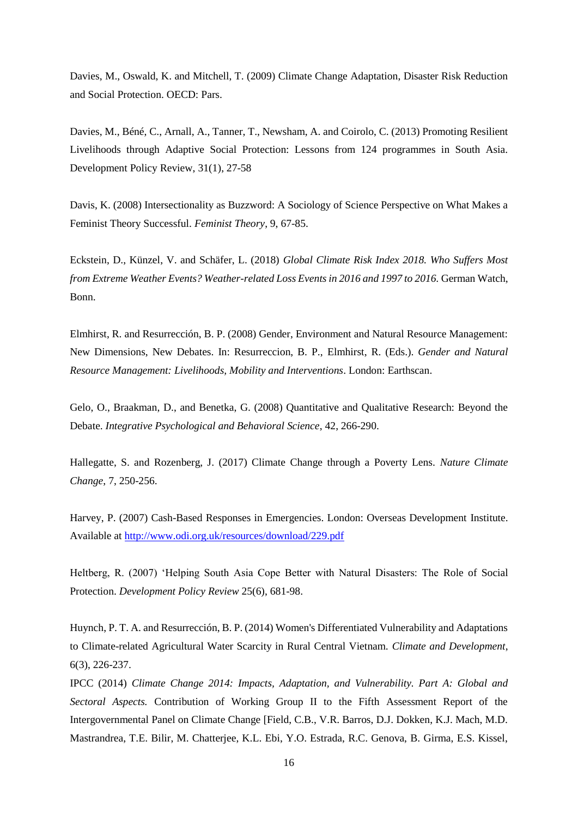Davies, M., Oswald, K. and Mitchell, T. (2009) Climate Change Adaptation, Disaster Risk Reduction and Social Protection. OECD: Pars.

Davies, M., Béné, C., Arnall, A., Tanner, T., Newsham, A. and Coirolo, C. (2013) Promoting Resilient Livelihoods through Adaptive Social Protection: Lessons from 124 programmes in South Asia. Development Policy Review, 31(1), 27-58

Davis, K. (2008) Intersectionality as Buzzword: A Sociology of Science Perspective on What Makes a Feminist Theory Successful. *Feminist Theory*, 9, 67-85.

Eckstein, D., Künzel, V. and Schäfer, L. (2018) *Global Climate Risk Index 2018. Who Suffers Most from Extreme Weather Events? Weather-related Loss Events in 2016 and 1997 to 2016.* German Watch, Bonn.

Elmhirst, R. and Resurrección, B. P. (2008) Gender, Environment and Natural Resource Management: New Dimensions, New Debates. In: Resurreccion, B. P., Elmhirst, R. (Eds.). *Gender and Natural Resource Management: Livelihoods, Mobility and Interventions*. London: Earthscan.

Gelo, O., Braakman, D., and Benetka, G. (2008) Quantitative and Qualitative Research: Beyond the Debate. *Integrative Psychological and Behavioral Science*, 42, 266-290.

Hallegatte, S. and Rozenberg, J. (2017) Climate Change through a Poverty Lens. *Nature Climate Change*, 7, 250-256.

Harvey, P. (2007) Cash-Based Responses in Emergencies. London: Overseas Development Institute. Available at<http://www.odi.org.uk/resources/download/229.pdf>

Heltberg, R. (2007) 'Helping South Asia Cope Better with Natural Disasters: The Role of Social Protection. *Development Policy Review* 25(6), 681-98.

Huynch, P. T. A. and Resurrección, B. P. (2014) Women's Differentiated Vulnerability and Adaptations to Climate-related Agricultural Water Scarcity in Rural Central Vietnam. *Climate and Development*, 6(3), 226-237.

IPCC (2014) *Climate Change 2014: Impacts, Adaptation, and Vulnerability. Part A: Global and Sectoral Aspects.* Contribution of Working Group II to the Fifth Assessment Report of the Intergovernmental Panel on Climate Change [Field, C.B., V.R. Barros, D.J. Dokken, K.J. Mach, M.D. Mastrandrea, T.E. Bilir, M. Chatterjee, K.L. Ebi, Y.O. Estrada, R.C. Genova, B. Girma, E.S. Kissel,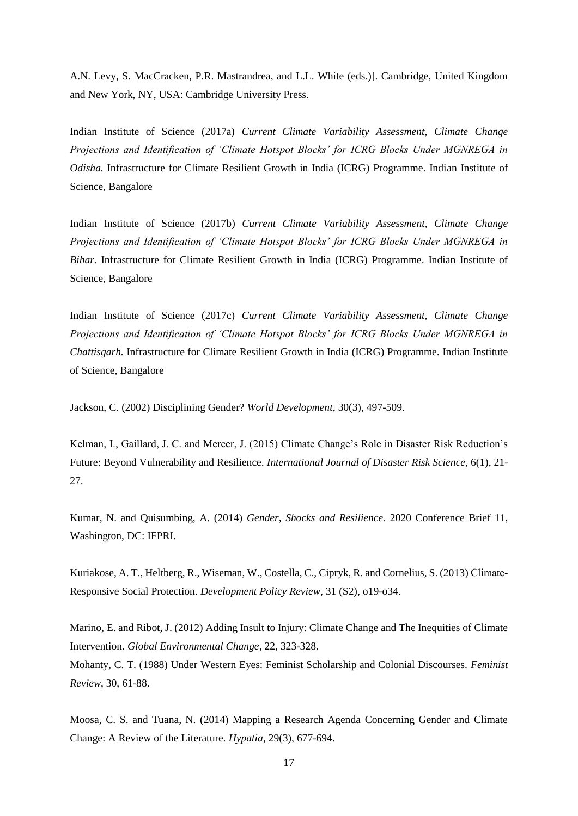A.N. Levy, S. MacCracken, P.R. Mastrandrea, and L.L. White (eds.)]. Cambridge, United Kingdom and New York, NY, USA: Cambridge University Press.

Indian Institute of Science (2017a) *Current Climate Variability Assessment, Climate Change Projections and Identification of 'Climate Hotspot Blocks' for ICRG Blocks Under MGNREGA in Odisha.* Infrastructure for Climate Resilient Growth in India (ICRG) Programme. Indian Institute of Science, Bangalore

Indian Institute of Science (2017b) *Current Climate Variability Assessment, Climate Change Projections and Identification of 'Climate Hotspot Blocks' for ICRG Blocks Under MGNREGA in Bihar.* Infrastructure for Climate Resilient Growth in India (ICRG) Programme. Indian Institute of Science, Bangalore

Indian Institute of Science (2017c) *Current Climate Variability Assessment, Climate Change Projections and Identification of 'Climate Hotspot Blocks' for ICRG Blocks Under MGNREGA in Chattisgarh.* Infrastructure for Climate Resilient Growth in India (ICRG) Programme. Indian Institute of Science, Bangalore

Jackson, C. (2002) Disciplining Gender? *World Development*, 30(3), 497-509.

Kelman, I., Gaillard, J. C. and Mercer, J. (2015) Climate Change's Role in Disaster Risk Reduction's Future: Beyond Vulnerability and Resilience. *International Journal of Disaster Risk Science*, 6(1), 21- 27.

Kumar, N. and Quisumbing, A. (2014) *Gender, Shocks and Resilience*. 2020 Conference Brief 11, Washington, DC: IFPRI.

Kuriakose, A. T., Heltberg, R., Wiseman, W., Costella, C., Cipryk, R. and Cornelius, S. (2013) Climate‐ Responsive Social Protection. *Development Policy Review*, 31 (S2), o19-o34.

Marino, E. and Ribot, J. (2012) Adding Insult to Injury: Climate Change and The Inequities of Climate Intervention. *Global Environmental Change*, 22, 323-328.

Mohanty, C. T. (1988) Under Western Eyes: Feminist Scholarship and Colonial Discourses. *Feminist Review*, 30, 61-88.

Moosa, C. S. and Tuana, N. (2014) Mapping a Research Agenda Concerning Gender and Climate Change: A Review of the Literature. *Hypatia*, 29(3), 677-694.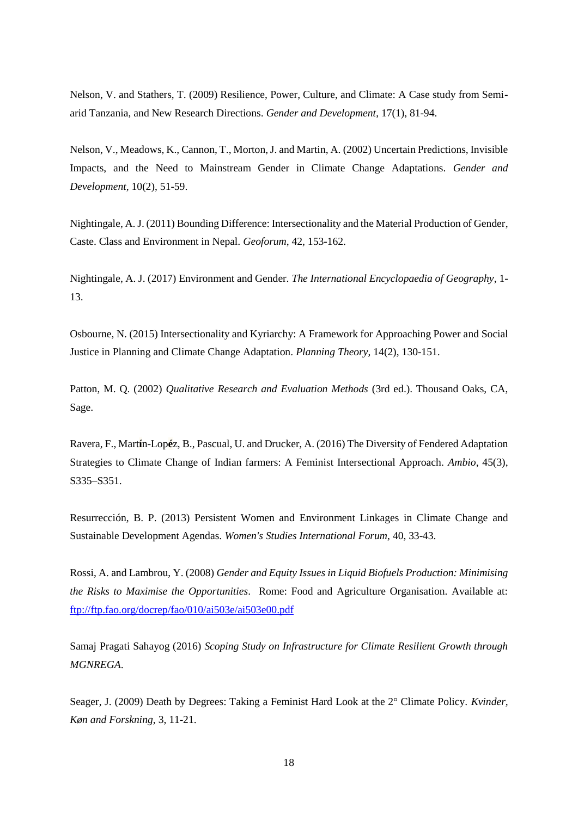Nelson, V. and Stathers, T. (2009) Resilience, Power, Culture, and Climate: A Case study from Semiarid Tanzania, and New Research Directions. *Gender and Development*, 17(1), 81-94.

Nelson, V., Meadows, K., Cannon, T., Morton, J. and Martin, A. (2002) Uncertain Predictions, Invisible Impacts, and the Need to Mainstream Gender in Climate Change Adaptations. *Gender and Development,* 10(2), 51-59.

Nightingale, A. J. (2011) Bounding Difference: Intersectionality and the Material Production of Gender, Caste. Class and Environment in Nepal. *Geoforum*, 42, 153-162.

Nightingale, A. J. (2017) Environment and Gender. *The International Encyclopaedia of Geography*, 1- 13.

Osbourne, N. (2015) Intersectionality and Kyriarchy: A Framework for Approaching Power and Social Justice in Planning and Climate Change Adaptation. *Planning Theory*, 14(2), 130-151.

Patton, M. Q. (2002) *Qualitative Research and Evaluation Methods* (3rd ed.). Thousand Oaks, CA, Sage.

Ravera, F., Mart**í**n-Lop**é**z, B., Pascual, U. and Drucker, A. (2016) The Diversity of Fendered Adaptation Strategies to Climate Change of Indian farmers: A Feminist Intersectional Approach. *Ambio*, 45(3), S335–S351.

Resurrección, B. P. (2013) Persistent Women and Environment Linkages in Climate Change and Sustainable Development Agendas. *Women's Studies International Forum*, 40, 33-43.

Rossi, A. and Lambrou, Y. (2008) *Gender and Equity Issues in Liquid Biofuels Production: Minimising the Risks to Maximise the Opportunities*. Rome: Food and Agriculture Organisation. Available at: <ftp://ftp.fao.org/docrep/fao/010/ai503e/ai503e00.pdf>

Samaj Pragati Sahayog (2016) *Scoping Study on Infrastructure for Climate Resilient Growth through MGNREGA*.

Seager, J. (2009) Death by Degrees: Taking a Feminist Hard Look at the 2° Climate Policy. *Kvinder, Køn and Forskning*, 3, 11-21.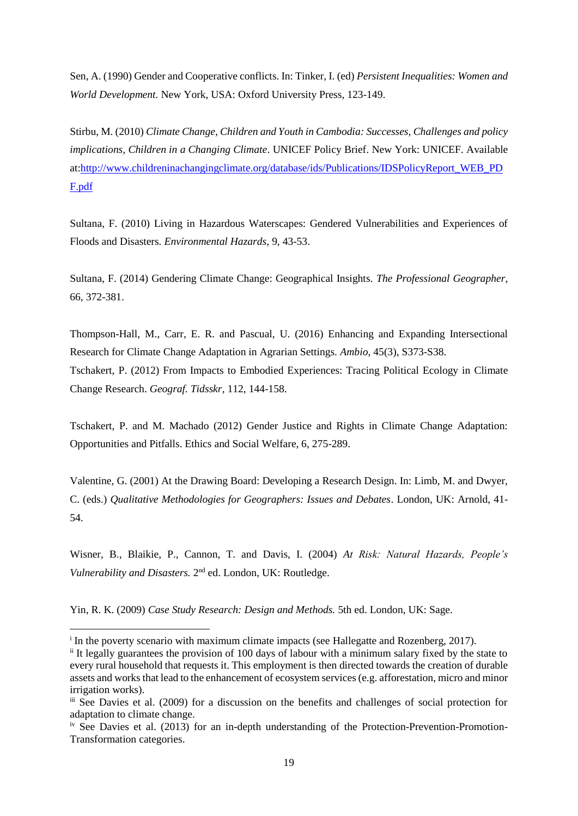Sen, A. (1990) Gender and Cooperative conflicts. In: Tinker, I. (ed) *Persistent Inequalities: Women and World Development.* New York, USA: Oxford University Press, 123-149.

Stirbu, M. (2010) *Climate Change, Children and Youth in Cambodia: Successes, Challenges and policy implications, Children in a Changing Climate*. UNICEF Policy Brief. New York: UNICEF. Available at[:http://www.childreninachangingclimate.org/database/ids/Publications/IDSPolicyReport\\_WEB\\_PD](http://www.childreninachangingclimate.org/database/ids/Publications/IDSPolicyReport_WEB_PDF.pdf) [F.pdf](http://www.childreninachangingclimate.org/database/ids/Publications/IDSPolicyReport_WEB_PDF.pdf)

Sultana, F. (2010) Living in Hazardous Waterscapes: Gendered Vulnerabilities and Experiences of Floods and Disasters*. Environmental Hazards*, 9, 43-53.

Sultana, F. (2014) Gendering Climate Change: Geographical Insights. *The Professional Geographer*, 66, 372-381.

Thompson-Hall, M., Carr, E. R. and Pascual, U. (2016) Enhancing and Expanding Intersectional Research for Climate Change Adaptation in Agrarian Settings. *Ambio*, 45(3), S373-S38. Tschakert, P. (2012) From Impacts to Embodied Experiences: Tracing Political Ecology in Climate Change Research. *Geograf. Tidsskr*, 112, 144-158.

Tschakert, P. and M. Machado (2012) Gender Justice and Rights in Climate Change Adaptation: Opportunities and Pitfalls. Ethics and Social Welfare, 6, 275-289.

Valentine, G. (2001) At the Drawing Board: Developing a Research Design. In: Limb, M. and Dwyer, C. (eds.) *Qualitative Methodologies for Geographers: Issues and Debates*. London, UK: Arnold, 41- 54.

Wisner, B., Blaikie, P., Cannon, T. and Davis, I. (2004) *At Risk: Natural Hazards, People's* Vulnerability and Disasters. 2<sup>nd</sup> ed. London, UK: Routledge.

Yin, R. K. (2009) *Case Study Research: Design and Methods.* 5th ed. London, UK: Sage.

**.** 

<sup>&</sup>lt;sup>i</sup> In the poverty scenario with maximum climate impacts (see Hallegatte and Rozenberg, 2017).

ii It legally guarantees the provision of 100 days of labour with a minimum salary fixed by the state to every rural household that requests it. This employment is then directed towards the creation of durable assets and works that lead to the enhancement of ecosystem services (e.g. afforestation, micro and minor irrigation works).

iii See Davies et al. (2009) for a discussion on the benefits and challenges of social protection for adaptation to climate change.

 $\mu$ <sup>iv</sup> See Davies et al. (2013) for an in-depth understanding of the Protection-Prevention-Promotion-Transformation categories.